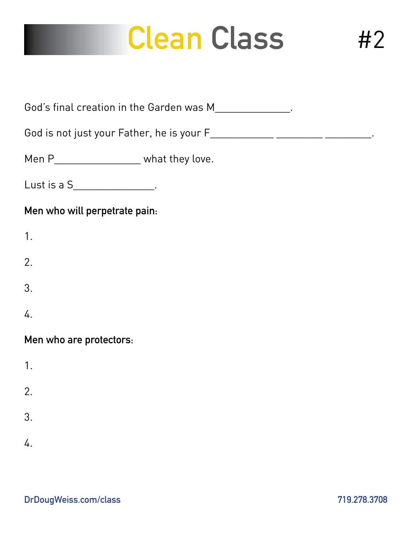# **Clean Class**

| God's final creation in the Garden was M________________.                     |
|-------------------------------------------------------------------------------|
| God is not just your Father, he is your F_____________ _________ ___________. |
| Men P_______________________ what they love.                                  |
| Lust is a S_________________.                                                 |
| Men who will perpetrate pain:                                                 |
| 1.                                                                            |
| 2.                                                                            |
| 3.                                                                            |
| 4.                                                                            |
| Men who are protectors:                                                       |
| 1.                                                                            |
| 2.                                                                            |
| 3.                                                                            |
| 4.                                                                            |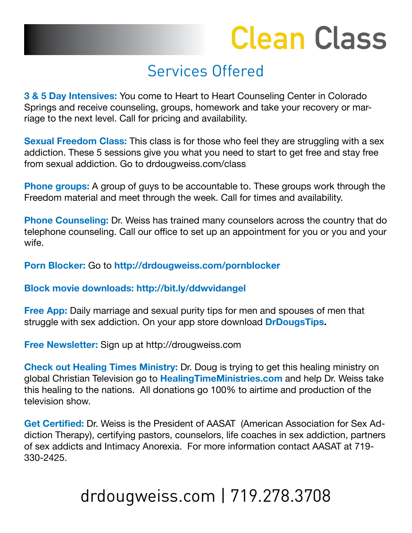# **Clean Class**

### Services Offered

**3 & 5 Day Intensives:** You come to Heart to Heart Counseling Center in Colorado Springs and receive counseling, groups, homework and take your recovery or marriage to the next level. Call for pricing and availability.

**Sexual Freedom Class:** This class is for those who feel they are struggling with a sex addiction. These 5 sessions give you what you need to start to get free and stay free from sexual addiction. Go to drdougweiss.com/class

**Phone groups:** A group of guys to be accountable to. These groups work through the Freedom material and meet through the week. Call for times and availability.

**Phone Counseling:** Dr. Weiss has trained many counselors across the country that do telephone counseling. Call our office to set up an appointment for you or you and your wife.

#### **Porn Blocker:** Go to **http://drdougweiss.com/pornblocker**

#### **Block movie downloads: http://bit.ly/ddwvidangel**

**Free App:** Daily marriage and sexual purity tips for men and spouses of men that struggle with sex addiction. On your app store download **DrDougsTips.**

**Free Newsletter:** Sign up at http://drougweiss.com

**Check out Healing Times Ministry:** Dr. Doug is trying to get this healing ministry on global Christian Television go to **HealingTimeMinistries.com** and help Dr. Weiss take this healing to the nations. All donations go 100% to airtime and production of the television show.

**Get Certified:** Dr. Weiss is the President of AASAT (American Association for Sex Addiction Therapy), certifying pastors, counselors, life coaches in sex addiction, partners of sex addicts and Intimacy Anorexia. For more information contact AASAT at 719- 330-2425.

## drdougweiss.com | 719.278.3708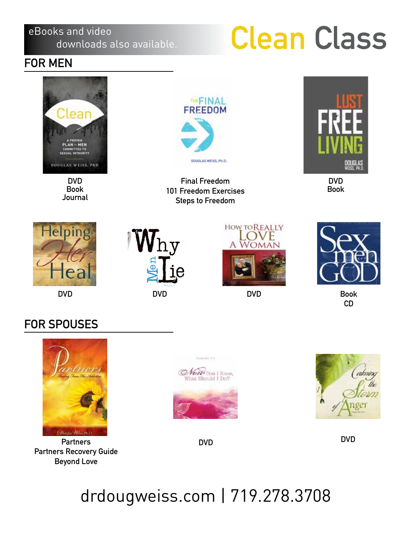#### eBooks and video downloads also available.

# **Clean Class**

### **FOR MEN**



**DVD Book Journal**



**Final Freedom 101 Freedom Exercises Steps to Freedom**



**DVD Book**







**DVD**



**Book CD**

### **FOR SPOUSES**



**Partners Partners Recovery Guide Beyond Love**





**DVD DVD**

## drdougweiss.com | 719.278.3708